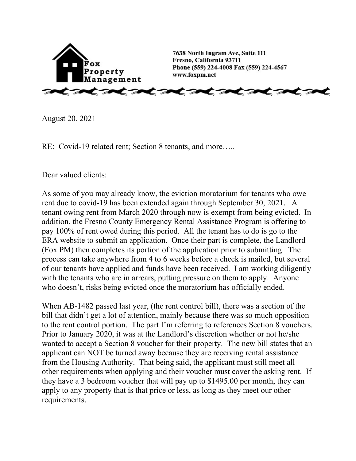

August 20, 2021

RE: Covid-19 related rent; Section 8 tenants, and more.....

Dear valued clients:

As some of you may already know, the eviction moratorium for tenants who owe rent due to covid-19 has been extended again through September 30, 2021. A tenant owing rent from March 2020 through now is exempt from being evicted. In addition, the Fresno County Emergency Rental Assistance Program is offering to pay 100% of rent owed during this period. All the tenant has to do is go to the ERA website to submit an application. Once their part is complete, the Landlord (Fox PM) then completes its portion of the application prior to submitting. The process can take anywhere from 4 to 6 weeks before a check is mailed, but several of our tenants have applied and funds have been received. I am working diligently with the tenants who are in arrears, putting pressure on them to apply. Anyone who doesn't, risks being evicted once the moratorium has officially ended.

When AB-1482 passed last year, (the rent control bill), there was a section of the bill that didn't get a lot of attention, mainly because there was so much opposition to the rent control portion. The part I'm referring to references Section 8 vouchers. Prior to January 2020, it was at the Landlord's discretion whether or not he/she wanted to accept a Section 8 voucher for their property. The new bill states that an applicant can NOT be turned away because they are receiving rental assistance from the Housing Authority. That being said, the applicant must still meet all other requirements when applying and their voucher must cover the asking rent. If they have a 3 bedroom voucher that will pay up to \$1495.00 per month, they can apply to any property that is that price or less, as long as they meet our other requirements.